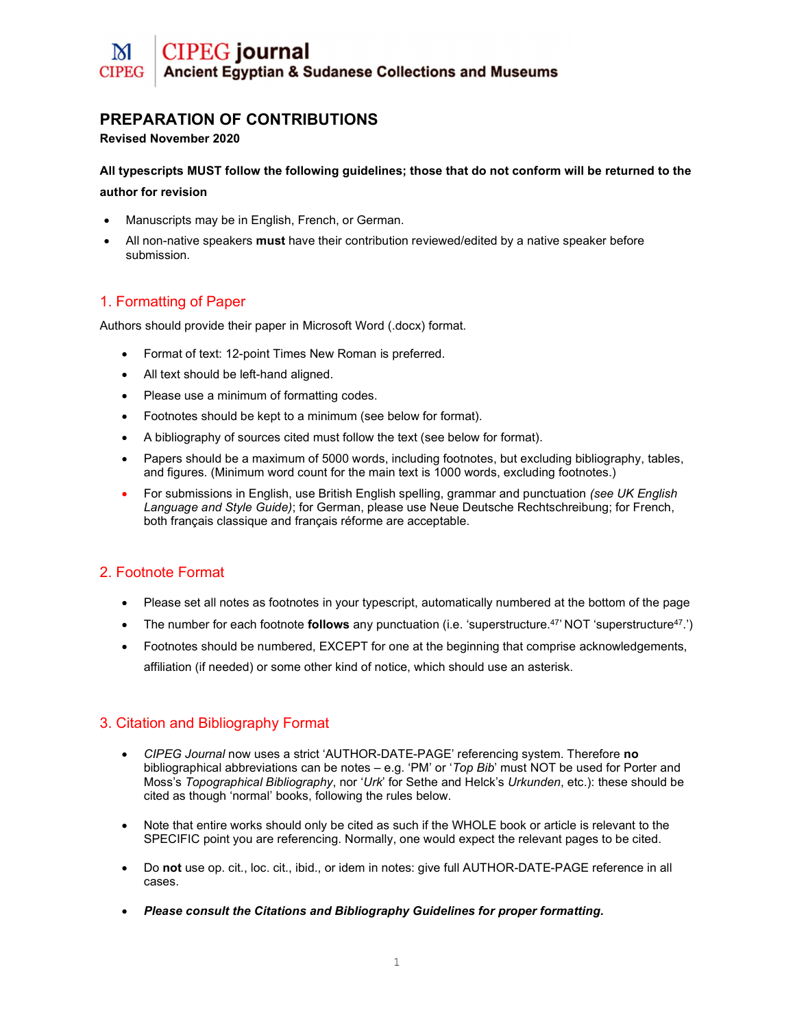# PREPARATION OF CONTRIBUTIONS

#### Revised November 2020

All typescripts MUST follow the following guidelines; those that do not conform will be returned to the author for revision

- Manuscripts may be in English, French, or German.
- All non-native speakers must have their contribution reviewed/edited by a native speaker before submission.

# 1. Formatting of Paper

Authors should provide their paper in Microsoft Word (.docx) format.

- Format of text: 12-point Times New Roman is preferred.
- All text should be left-hand aligned.
- Please use a minimum of formatting codes.
- Footnotes should be kept to a minimum (see below for format).
- A bibliography of sources cited must follow the text (see below for format).
- Papers should be a maximum of 5000 words, including footnotes, but excluding bibliography, tables, and figures. (Minimum word count for the main text is 1000 words, excluding footnotes.)
- For submissions in English, use British English spelling, grammar and punctuation (see UK English Language and Style Guide); for German, please use Neue Deutsche Rechtschreibung; for French, both français classique and français réforme are acceptable.

# 2. Footnote Format

- Please set all notes as footnotes in your typescript, automatically numbered at the bottom of the page
- The number for each footnote **follows** any punctuation (i.e. 'superstructure.<sup>47</sup>' NOT 'superstructure<sup>47</sup>.')
- Footnotes should be numbered, EXCEPT for one at the beginning that comprise acknowledgements, affiliation (if needed) or some other kind of notice, which should use an asterisk.

### 3. Citation and Bibliography Format

- CIPEG Journal now uses a strict 'AUTHOR-DATE-PAGE' referencing system. Therefore no bibliographical abbreviations can be notes  $-$  e.g. 'PM' or 'Top Bib' must NOT be used for Porter and Moss's Topographical Bibliography, nor 'Urk' for Sethe and Helck's Urkunden, etc.): these should be cited as though 'normal' books, following the rules below.
- Note that entire works should only be cited as such if the WHOLE book or article is relevant to the SPECIFIC point you are referencing. Normally, one would expect the relevant pages to be cited.
- Do not use op. cit., loc. cit., ibid., or idem in notes: give full AUTHOR-DATE-PAGE reference in all cases.
- Please consult the Citations and Bibliography Guidelines for proper formatting.